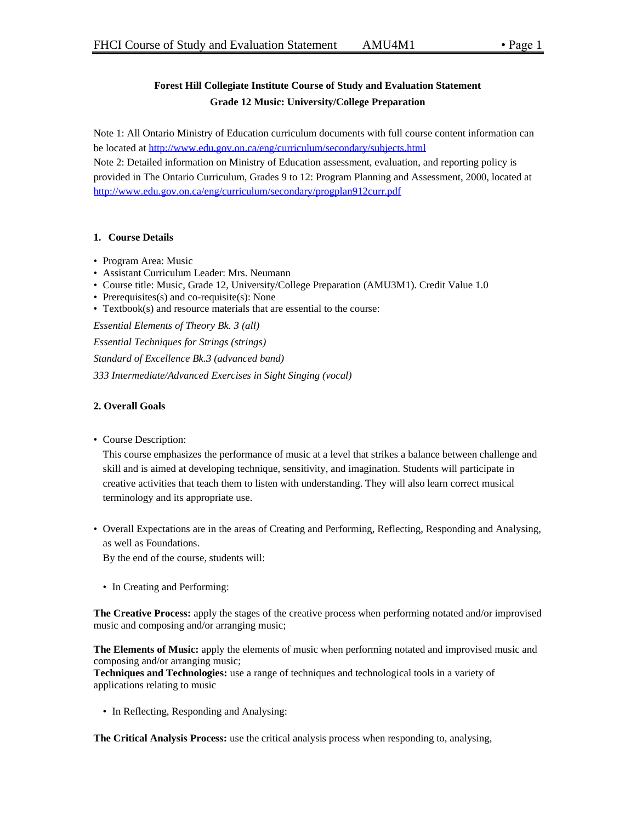# **Forest Hill Collegiate Institute Course of Study and Evaluation Statement Grade 12 Music: University/College Preparation**

Note 1: All Ontario Ministry of Education curriculum documents with full course content information can be located at<http://www.edu.gov.on.ca/eng/curriculum/secondary/subjects.html>

Note 2: Detailed information on Ministry of Education assessment, evaluation, and reporting policy is provided in The Ontario Curriculum, Grades 9 to 12: Program Planning and Assessment, 2000, located at <http://www.edu.gov.on.ca/eng/curriculum/secondary/progplan912curr.pdf>

# **1. Course Details**

- Program Area: Music
- Assistant Curriculum Leader: Mrs. Neumann
- Course title: Music, Grade 12, University/College Preparation (AMU3M1). Credit Value 1.0
- Prerequisites(s) and co-requisite(s): None
- Textbook(s) and resource materials that are essential to the course:

*Essential Elements of Theory Bk. 3 (all)*

*Essential Techniques for Strings (strings) Standard of Excellence Bk.3 (advanced band) 333 Intermediate/Advanced Exercises in Sight Singing (vocal)*

# **2. Overall Goals**

• Course Description:

This course emphasizes the performance of music at a level that strikes a balance between challenge and skill and is aimed at developing technique, sensitivity, and imagination. Students will participate in creative activities that teach them to listen with understanding. They will also learn correct musical terminology and its appropriate use.

• Overall Expectations are in the areas of Creating and Performing, Reflecting, Responding and Analysing, as well as Foundations.

By the end of the course, students will:

• In Creating and Performing:

**The Creative Process:** apply the stages of the creative process when performing notated and/or improvised music and composing and/or arranging music;

**The Elements of Music:** apply the elements of music when performing notated and improvised music and composing and/or arranging music;

**Techniques and Technologies:** use a range of techniques and technological tools in a variety of applications relating to music

• In Reflecting, Responding and Analysing:

**The Critical Analysis Process:** use the critical analysis process when responding to, analysing,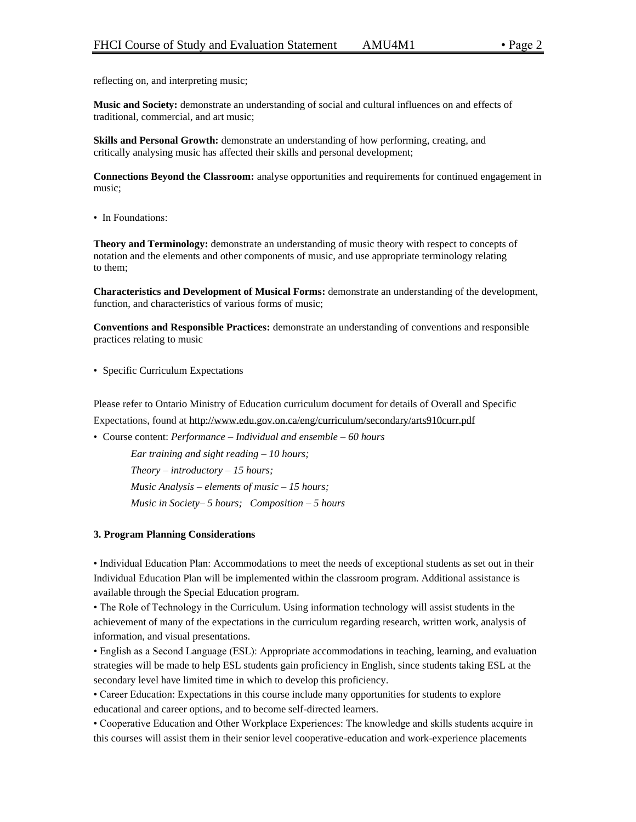reflecting on, and interpreting music;

**Music and Society:** demonstrate an understanding of social and cultural influences on and effects of traditional, commercial, and art music;

**Skills and Personal Growth:** demonstrate an understanding of how performing, creating, and critically analysing music has affected their skills and personal development;

**Connections Beyond the Classroom:** analyse opportunities and requirements for continued engagement in music;

• In Foundations:

**Theory and Terminology:** demonstrate an understanding of music theory with respect to concepts of notation and the elements and other components of music, and use appropriate terminology relating to them;

**Characteristics and Development of Musical Forms:** demonstrate an understanding of the development, function, and characteristics of various forms of music;

**Conventions and Responsible Practices:** demonstrate an understanding of conventions and responsible practices relating to music

• Specific Curriculum Expectations

Please refer to Ontario Ministry of Education curriculum document for details of Overall and Specific Expectations, found at http://www.edu.gov.on.ca/eng/curriculum/secondary/arts910curr.pdf

• Course content: *Performance – Individual and ensemble – 60 hours Ear training and sight reading – 10 hours; Theory – introductory – 15 hours; Music Analysis – elements of music – 15 hours; Music in Society– 5 hours; Composition – 5 hours*

#### **3. Program Planning Considerations**

• Individual Education Plan: Accommodations to meet the needs of exceptional students as set out in their Individual Education Plan will be implemented within the classroom program. Additional assistance is available through the Special Education program.

• The Role of Technology in the Curriculum. Using information technology will assist students in the achievement of many of the expectations in the curriculum regarding research, written work, analysis of information, and visual presentations.

• English as a Second Language (ESL): Appropriate accommodations in teaching, learning, and evaluation strategies will be made to help ESL students gain proficiency in English, since students taking ESL at the secondary level have limited time in which to develop this proficiency.

• Career Education: Expectations in this course include many opportunities for students to explore educational and career options, and to become self-directed learners.

• Cooperative Education and Other Workplace Experiences: The knowledge and skills students acquire in this courses will assist them in their senior level cooperative-education and work-experience placements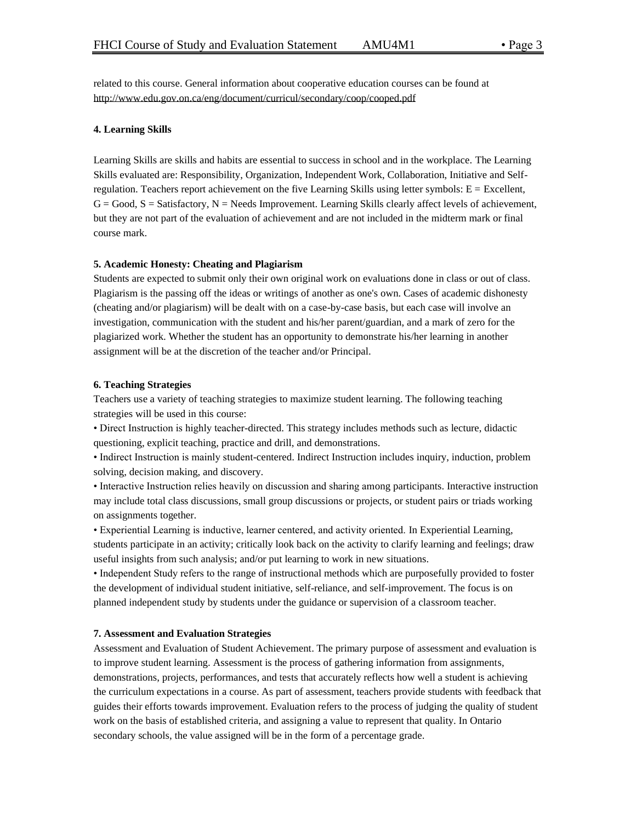related to this course. General information about cooperative education courses can be found at http://www.edu.gov.on.ca/eng/document/curricul/secondary/coop/cooped.pdf

#### **4. Learning Skills**

Learning Skills are skills and habits are essential to success in school and in the workplace. The Learning Skills evaluated are: Responsibility, Organization, Independent Work, Collaboration, Initiative and Selfregulation. Teachers report achievement on the five Learning Skills using letter symbols: E = Excellent,  $G = Good, S = S \text{atisfactory}, N = Needs Improvement. Learning Skills clearly affect levels of achievement,$ but they are not part of the evaluation of achievement and are not included in the midterm mark or final course mark.

### **5. Academic Honesty: Cheating and Plagiarism**

Students are expected to submit only their own original work on evaluations done in class or out of class. Plagiarism is the passing off the ideas or writings of another as one's own. Cases of academic dishonesty (cheating and/or plagiarism) will be dealt with on a case-by-case basis, but each case will involve an investigation, communication with the student and his/her parent/guardian, and a mark of zero for the plagiarized work. Whether the student has an opportunity to demonstrate his/her learning in another assignment will be at the discretion of the teacher and/or Principal.

#### **6. Teaching Strategies**

Teachers use a variety of teaching strategies to maximize student learning. The following teaching strategies will be used in this course:

• Direct Instruction is highly teacher-directed. This strategy includes methods such as lecture, didactic questioning, explicit teaching, practice and drill, and demonstrations.

• Indirect Instruction is mainly student-centered. Indirect Instruction includes inquiry, induction, problem solving, decision making, and discovery.

• Interactive Instruction relies heavily on discussion and sharing among participants. Interactive instruction may include total class discussions, small group discussions or projects, or student pairs or triads working on assignments together.

• Experiential Learning is inductive, learner centered, and activity oriented. In Experiential Learning, students participate in an activity; critically look back on the activity to clarify learning and feelings; draw useful insights from such analysis; and/or put learning to work in new situations.

• Independent Study refers to the range of instructional methods which are purposefully provided to foster the development of individual student initiative, self-reliance, and self-improvement. The focus is on planned independent study by students under the guidance or supervision of a classroom teacher.

## **7. Assessment and Evaluation Strategies**

Assessment and Evaluation of Student Achievement. The primary purpose of assessment and evaluation is to improve student learning. Assessment is the process of gathering information from assignments, demonstrations, projects, performances, and tests that accurately reflects how well a student is achieving the curriculum expectations in a course. As part of assessment, teachers provide students with feedback that guides their efforts towards improvement. Evaluation refers to the process of judging the quality of student work on the basis of established criteria, and assigning a value to represent that quality. In Ontario secondary schools, the value assigned will be in the form of a percentage grade.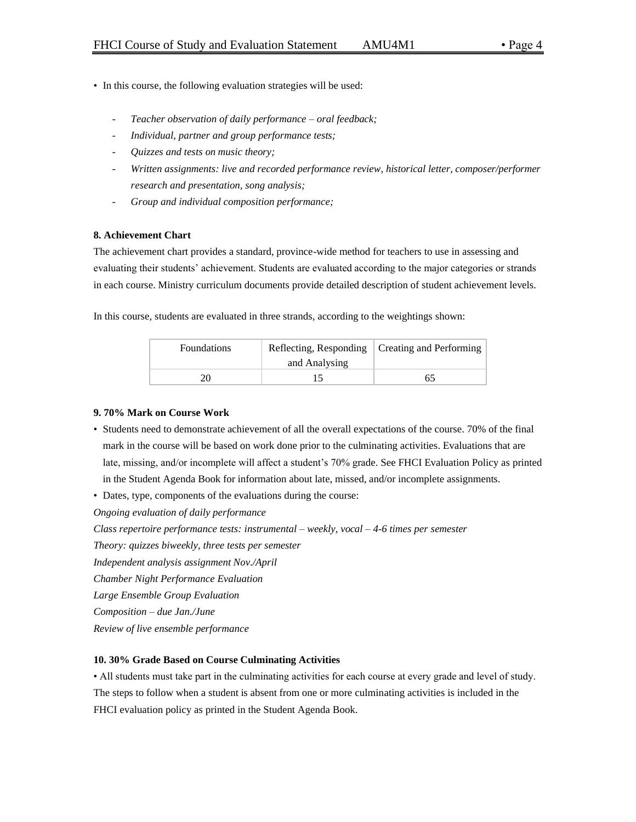- In this course, the following evaluation strategies will be used:
	- *Teacher observation of daily performance – oral feedback;*
	- *Individual, partner and group performance tests;*
	- *Quizzes and tests on music theory;*
	- *Written assignments: live and recorded performance review, historical letter, composer/performer research and presentation, song analysis;*
	- *Group and individual composition performance;*

### **8. Achievement Chart**

The achievement chart provides a standard, province-wide method for teachers to use in assessing and evaluating their students' achievement. Students are evaluated according to the major categories or strands in each course. Ministry curriculum documents provide detailed description of student achievement levels.

In this course, students are evaluated in three strands, according to the weightings shown:

| <b>Foundations</b> |               | Reflecting, Responding   Creating and Performing |
|--------------------|---------------|--------------------------------------------------|
|                    | and Analysing |                                                  |
|                    |               |                                                  |

### **9. 70% Mark on Course Work**

- Students need to demonstrate achievement of all the overall expectations of the course. 70% of the final mark in the course will be based on work done prior to the culminating activities. Evaluations that are late, missing, and/or incomplete will affect a student's 70% grade. See FHCI Evaluation Policy as printed in the Student Agenda Book for information about late, missed, and/or incomplete assignments.
- Dates, type, components of the evaluations during the course:

*Ongoing evaluation of daily performance*

*Class repertoire performance tests: instrumental – weekly, vocal – 4-6 times per semester*

*Theory: quizzes biweekly, three tests per semester*

*Independent analysis assignment Nov./April*

*Chamber Night Performance Evaluation*

*Large Ensemble Group Evaluation*

*Composition – due Jan./June*

*Review of live ensemble performance* 

#### **10. 30% Grade Based on Course Culminating Activities**

• All students must take part in the culminating activities for each course at every grade and level of study. The steps to follow when a student is absent from one or more culminating activities is included in the FHCI evaluation policy as printed in the Student Agenda Book.